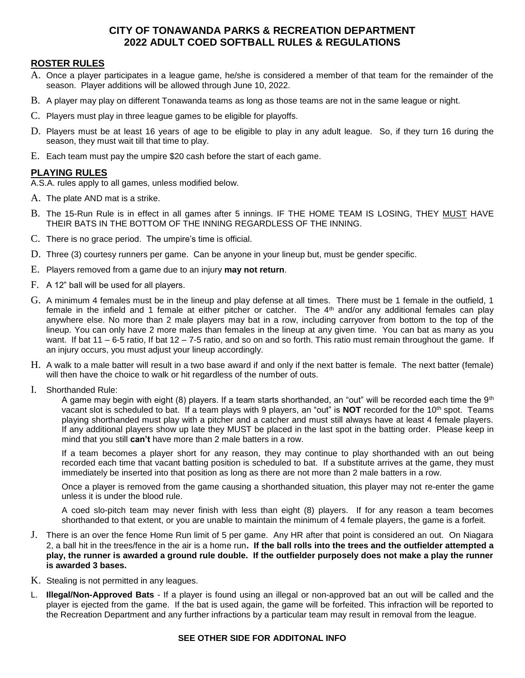# **CITY OF TONAWANDA PARKS & RECREATION DEPARTMENT 2022 ADULT COED SOFTBALL RULES & REGULATIONS**

# **ROSTER RULES**

- A. Once a player participates in a league game, he/she is considered a member of that team for the remainder of the season. Player additions will be allowed through June 10, 2022.
- B. A player may play on different Tonawanda teams as long as those teams are not in the same league or night.
- C. Players must play in three league games to be eligible for playoffs.
- D. Players must be at least 16 years of age to be eligible to play in any adult league. So, if they turn 16 during the season, they must wait till that time to play.
- E. Each team must pay the umpire \$20 cash before the start of each game.

## **PLAYING RULES**

A.S.A. rules apply to all games, unless modified below.

- A. The plate AND mat is a strike.
- B. The 15-Run Rule is in effect in all games after 5 innings. IF THE HOME TEAM IS LOSING, THEY MUST HAVE THEIR BATS IN THE BOTTOM OF THE INNING REGARDLESS OF THE INNING.
- C. There is no grace period. The umpire's time is official.
- D. Three (3) courtesy runners per game. Can be anyone in your lineup but, must be gender specific.
- E. Players removed from a game due to an injury **may not return**.
- F. A 12" ball will be used for all players.
- G. A minimum 4 females must be in the lineup and play defense at all times. There must be 1 female in the outfield, 1 female in the infield and 1 female at either pitcher or catcher. The 4<sup>th</sup> and/or any additional females can play anywhere else. No more than 2 male players may bat in a row, including carryover from bottom to the top of the lineup. You can only have 2 more males than females in the lineup at any given time. You can bat as many as you want. If bat 11 – 6-5 ratio, If bat 12 – 7-5 ratio, and so on and so forth. This ratio must remain throughout the game. If an injury occurs, you must adjust your lineup accordingly.
- H. A walk to a male batter will result in a two base award if and only if the next batter is female. The next batter (female) will then have the choice to walk or hit regardless of the number of outs.
- I. Shorthanded Rule:

A game may begin with eight (8) players. If a team starts shorthanded, an "out" will be recorded each time the  $9<sup>th</sup>$ vacant slot is scheduled to bat. If a team plays with 9 players, an "out" is **NOT** recorded for the 10th spot. Teams playing shorthanded must play with a pitcher and a catcher and must still always have at least 4 female players. If any additional players show up late they MUST be placed in the last spot in the batting order. Please keep in mind that you still **can't** have more than 2 male batters in a row.

If a team becomes a player short for any reason, they may continue to play shorthanded with an out being recorded each time that vacant batting position is scheduled to bat. If a substitute arrives at the game, they must immediately be inserted into that position as long as there are not more than 2 male batters in a row.

Once a player is removed from the game causing a shorthanded situation, this player may not re-enter the game unless it is under the blood rule.

A coed slo-pitch team may never finish with less than eight (8) players. If for any reason a team becomes shorthanded to that extent, or you are unable to maintain the minimum of 4 female players, the game is a forfeit.

- J. There is an over the fence Home Run limit of 5 per game. Any HR after that point is considered an out. On Niagara 2, a ball hit in the trees/fence in the air is a home run**. If the ball rolls into the trees and the outfielder attempted a play, the runner is awarded a ground rule double. If the outfielder purposely does not make a play the runner is awarded 3 bases.**
- K. Stealing is not permitted in any leagues.
- L. **Illegal/Non-Approved Bats** If a player is found using an illegal or non-approved bat an out will be called and the player is ejected from the game. If the bat is used again, the game will be forfeited. This infraction will be reported to the Recreation Department and any further infractions by a particular team may result in removal from the league.

#### **SEE OTHER SIDE FOR ADDITONAL INFO**